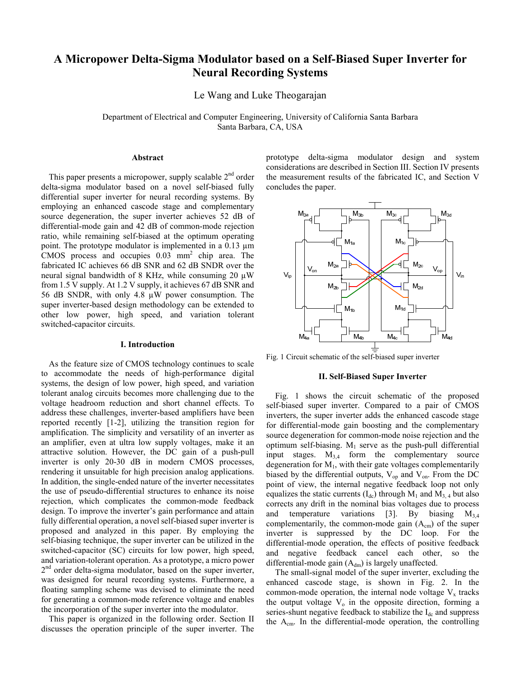# **A Micropower Delta-Sigma Modulator based on a Self-Biased Super Inverter for Neural Recording Systems**

Le Wang and Luke Theogarajan

Department of Electrical and Computer Engineering, University of California Santa Barbara Santa Barbara, CA, USA

### **Abstract**

This paper presents a micropower, supply scalable  $2<sup>nd</sup>$  order delta-sigma modulator based on a novel self-biased fully differential super inverter for neural recording systems. By employing an enhanced cascode stage and complementary source degeneration, the super inverter achieves 52 dB of differential-mode gain and 42 dB of common-mode rejection ratio, while remaining self-biased at the optimum operating point. The prototype modulator is implemented in a 0.13 µm CMOS process and occupies  $0.03$  mm<sup>2</sup> chip area. The fabricated IC achieves 66 dB SNR and 62 dB SNDR over the neural signal bandwidth of 8 KHz, while consuming 20  $\mu$ W from 1.5 V supply. At 1.2 V supply, it achieves 67 dB SNR and 56 dB SNDR, with only 4.8 µW power consumption. The super inverter-based design methodology can be extended to other low power, high speed, and variation tolerant switched-capacitor circuits.

## **I. Introduction**

As the feature size of CMOS technology continues to scale to accommodate the needs of high-performance digital systems, the design of low power, high speed, and variation tolerant analog circuits becomes more challenging due to the voltage headroom reduction and short channel effects. To address these challenges, inverter-based amplifiers have been reported recently [1-2], utilizing the transition region for amplification. The simplicity and versatility of an inverter as an amplifier, even at ultra low supply voltages, make it an attractive solution. However, the DC gain of a push-pull inverter is only 20-30 dB in modern CMOS processes, rendering it unsuitable for high precision analog applications. In addition, the single-ended nature of the inverter necessitates the use of pseudo-differential structures to enhance its noise rejection, which complicates the common-mode feedback design. To improve the inverter's gain performance and attain fully differential operation, a novel self-biased super inverter is proposed and analyzed in this paper. By employing the self-biasing technique, the super inverter can be utilized in the switched-capacitor (SC) circuits for low power, high speed, and variation-tolerant operation. As a prototype, a micro power 2<sup>nd</sup> order delta-sigma modulator, based on the super inverter, was designed for neural recording systems. Furthermore, a floating sampling scheme was devised to eliminate the need for generating a common-mode reference voltage and enables the incorporation of the super inverter into the modulator.

This paper is organized in the following order. Section II discusses the operation principle of the super inverter. The prototype delta-sigma modulator design and system considerations are described in Section III. Section IV presents the measurement results of the fabricated IC, and Section V concludes the paper.



Fig. 1 Circuit schematic of the self-biased super inverter

## **II. Self-Biased Super Inverter**

Fig. 1 shows the circuit schematic of the proposed self-biased super inverter. Compared to a pair of CMOS inverters, the super inverter adds the enhanced cascode stage for differential-mode gain boosting and the complementary source degeneration for common-mode noise rejection and the optimum self-biasing.  $M_1$  serve as the push-pull differential input stages.  $M_{3,4}$  form the complementary source degeneration for  $M_1$ , with their gate voltages complementarily biased by the differential outputs,  $V_{op}$  and  $V_{on}$ . From the DC point of view, the internal negative feedback loop not only equalizes the static currents  $(I_{dc})$  through  $M_1$  and  $M_3$  4 but also corrects any drift in the nominal bias voltages due to process and temperature variations [3]. By biasing  $M_{3,4}$ complementarily, the common-mode gain  $(A<sub>cm</sub>)$  of the super inverter is suppressed by the DC loop. For the differential-mode operation, the effects of positive feedback and negative feedback cancel each other, so the differential-mode gain  $(A_{dm})$  is largely unaffected.

The small-signal model of the super inverter, excluding the enhanced cascode stage, is shown in Fig. 2. In the common-mode operation, the internal node voltage  $V_x$  tracks the output voltage  $V_0$  in the opposite direction, forming a series-shunt negative feedback to stabilize the  $I_{dc}$  and suppress the  $A<sub>cm</sub>$ . In the differential-mode operation, the controlling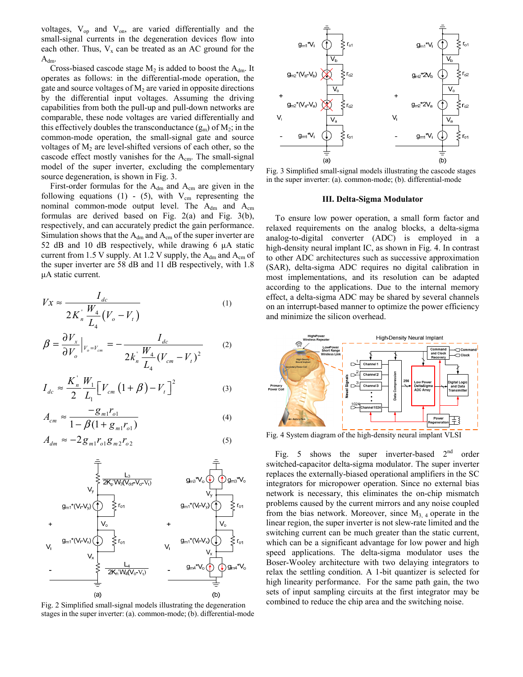voltages,  $V_{op}$  and  $V_{on}$ , are varied differentially and the small-signal currents in the degeneration devices flow into each other. Thus,  $V_x$  can be treated as an AC ground for the  $A_{dm}.$ 

Cross-biased cascode stage  $M_2$  is added to boost the  $A_{dm}$ . It operates as follows: in the differential-mode operation, the gate and source voltages of  $M_2$  are varied in opposite directions by the differential input voltages. Assuming the driving capabilities from both the pull-up and pull-down networks are comparable, these node voltages are varied differentially and this effectively doubles the transconductance  $(g_m)$  of  $M_2$ ; in the common-mode operation, the small-signal gate and source voltages of  $M_2$  are level-shifted versions of each other, so the cascode effect mostly vanishes for the Acm. The small-signal model of the super inverter, excluding the complementary source degeneration, is shown in Fig. 3.

First-order formulas for the  $A_{dm}$  and  $A_{cm}$  are given in the following equations (1) - (5), with  $V_{cm}$  representing the nominal common-mode output level. The  $A_{dm}$  and  $A_{cm}$ formulas are derived based on Fig. 2(a) and Fig. 3(b), respectively, and can accurately predict the gain performance. Simulation shows that the  $A_{dm}$  and  $A_{cm}$  of the super inverter are 52 dB and 10 dB respectively, while drawing 6 μA static current from 1.5 V supply. At 1.2 V supply, the  $A_{dm}$  and  $A_{cm}$  of the super inverter are 58 dB and 11 dB respectively, with 1.8 μA static current.

$$
Vx \approx \frac{I_{dc}}{2K_n \frac{W_4}{L_4}(V_o - V_t)}
$$
 (1)

$$
\beta = \frac{\partial V_x}{\partial V_o} \Big|_{V_o = V_{cm}} = -\frac{I_{dc}}{2k_n \frac{W_4}{L_4} (V_{cm} - V_t)^2}
$$
 (2)

$$
I_{dc} \approx \frac{K_n^{'}}{2} \frac{W_1}{L_1} \Big[ V_{cm} \left( 1 + \beta \right) - V_t \Big]^2 \tag{3}
$$

$$
A_{cm} \approx \frac{-g_{m1}r_{o1}}{1 - \beta(1 + g_{m1}r_{o1})}
$$
(4)

$$
A_{dm} \approx -2g_{m1}r_{o1}g_{m2}r_{o2} \tag{5}
$$



Fig. 2 Simplified small-signal models illustrating the degeneration stages in the super inverter: (a). common-mode; (b). differential-mode



Fig. 3 Simplified small-signal models illustrating the cascode stages in the super inverter: (a). common-mode; (b). differential-mode

# **III. Delta-Sigma Modulator**

To ensure low power operation, a small form factor and relaxed requirements on the analog blocks, a delta-sigma analog-to-digital converter (ADC) is employed in a high-density neural implant IC, as shown in Fig. 4. In contrast to other ADC architectures such as successive approximation (SAR), delta-sigma ADC requires no digital calibration in most implementations, and its resolution can be adapted according to the applications. Due to the internal memory effect, a delta-sigma ADC may be shared by several channels on an interrupt-based manner to optimize the power efficiency and minimize the silicon overhead.



Fig. 4 System diagram of the high-density neural implant VLSI

Fig. 5 shows the super inverter-based  $2<sup>nd</sup>$  order switched-capacitor delta-sigma modulator. The super inverter replaces the externally-biased operational amplifiers in the SC integrators for micropower operation. Since no external bias network is necessary, this eliminates the on-chip mismatch problems caused by the current mirrors and any noise coupled from the bias network. Moreover, since  $M<sub>3, 4</sub>$  operate in the linear region, the super inverter is not slew-rate limited and the switching current can be much greater than the static current, which can be a significant advantage for low power and high speed applications. The delta-sigma modulator uses the Boser-Wooley architecture with two delaying integrators to relax the settling condition. A 1-bit quantizer is selected for high linearity performance. For the same path gain, the two sets of input sampling circuits at the first integrator may be combined to reduce the chip area and the switching noise.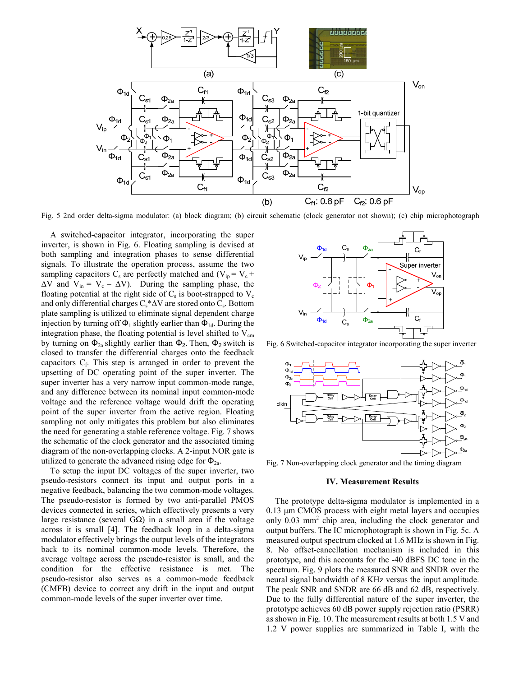

Fig. 5 2nd order delta-sigma modulator: (a) block diagram; (b) circuit schematic (clock generator not shown); (c) chip microphotograph

A switched-capacitor integrator, incorporating the super inverter, is shown in Fig. 6. Floating sampling is devised at both sampling and integration phases to sense differential signals. To illustrate the operation process, assume the two sampling capacitors  $C_s$  are perfectly matched and  $(V_{in} = V_c +$  $\Delta V$  and  $V_{in} = V_c - \Delta V$ ). During the sampling phase, the floating potential at the right side of  $C_s$  is boot-strapped to  $V_c$ and only differential charges  $C_s^*\Delta V$  are stored onto  $C_s$ . Bottom plate sampling is utilized to eliminate signal dependent charge injection by turning off  $\Phi_1$  slightly earlier than  $\Phi_{1d}$ . During the integration phase, the floating potential is level shifted to  $V_{cm}$ by turning on  $\Phi_{2a}$  slightly earlier than  $\Phi_2$ . Then,  $\Phi_2$  switch is closed to transfer the differential charges onto the feedback capacitors  $C_f$ . This step is arranged in order to prevent the upsetting of DC operating point of the super inverter. The super inverter has a very narrow input common-mode range, and any difference between its nominal input common-mode voltage and the reference voltage would drift the operating point of the super inverter from the active region. Floating sampling not only mitigates this problem but also eliminates the need for generating a stable reference voltage. Fig. 7 shows the schematic of the clock generator and the associated timing diagram of the non-overlapping clocks. A 2-input NOR gate is utilized to generate the advanced rising edge for  $\Phi_{2a}$ .

To setup the input DC voltages of the super inverter, two pseudo-resistors connect its input and output ports in a negative feedback, balancing the two common-mode voltages. The pseudo-resistor is formed by two anti-parallel PMOS devices connected in series, which effectively presents a very large resistance (several  $G\Omega$ ) in a small area if the voltage across it is small [4]. The feedback loop in a delta-sigma modulator effectively brings the output levels of the integrators back to its nominal common-mode levels. Therefore, the average voltage across the pseudo-resistor is small, and the condition for the effective resistance is met. The pseudo-resistor also serves as a common-mode feedback (CMFB) device to correct any drift in the input and output common-mode levels of the super inverter over time.



Fig. 6 Switched-capacitor integrator incorporating the super inverter



Fig. 7 Non-overlapping clock generator and the timing diagram

#### **IV. Measurement Results**

The prototype delta-sigma modulator is implemented in a 0.13 μm CMOS process with eight metal layers and occupies only 0.03 mm2 chip area, including the clock generator and output buffers. The IC microphotograph is shown in Fig. 5c. A measured output spectrum clocked at 1.6 MHz is shown in Fig. 8. No offset-cancellation mechanism is included in this prototype, and this accounts for the -40 dBFS DC tone in the spectrum. Fig. 9 plots the measured SNR and SNDR over the neural signal bandwidth of 8 KHz versus the input amplitude. The peak SNR and SNDR are 66 dB and 62 dB, respectively. Due to the fully differential nature of the super inverter, the prototype achieves 60 dB power supply rejection ratio (PSRR) as shown in Fig. 10. The measurement results at both 1.5 V and 1.2 V power supplies are summarized in Table I, with the